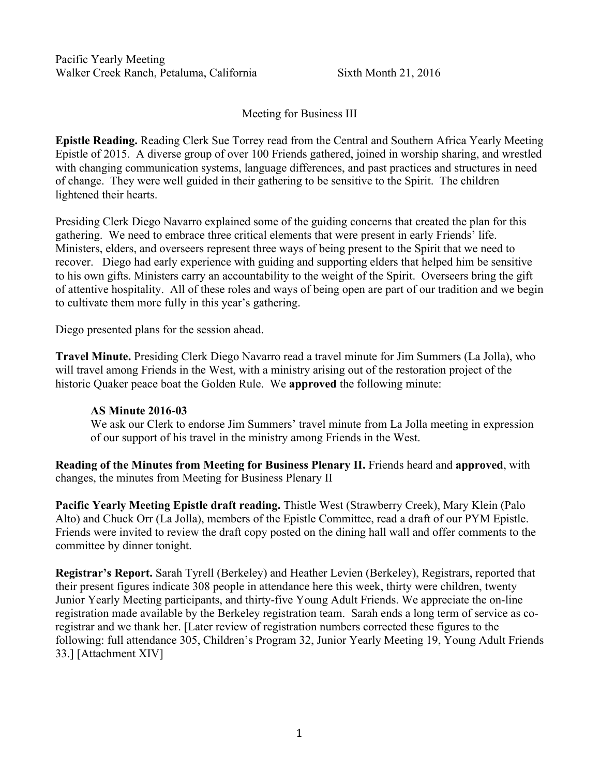Pacific Yearly Meeting Walker Creek Ranch, Petaluma, California Sixth Month 21, 2016

Meeting for Business III

**Epistle Reading.** Reading Clerk Sue Torrey read from the Central and Southern Africa Yearly Meeting Epistle of 2015. A diverse group of over 100 Friends gathered, joined in worship sharing, and wrestled with changing communication systems, language differences, and past practices and structures in need of change. They were well guided in their gathering to be sensitive to the Spirit. The children lightened their hearts.

Presiding Clerk Diego Navarro explained some of the guiding concerns that created the plan for this gathering. We need to embrace three critical elements that were present in early Friends' life. Ministers, elders, and overseers represent three ways of being present to the Spirit that we need to recover. Diego had early experience with guiding and supporting elders that helped him be sensitive to his own gifts. Ministers carry an accountability to the weight of the Spirit. Overseers bring the gift of attentive hospitality. All of these roles and ways of being open are part of our tradition and we begin to cultivate them more fully in this year's gathering.

Diego presented plans for the session ahead.

**Travel Minute.** Presiding Clerk Diego Navarro read a travel minute for Jim Summers (La Jolla), who will travel among Friends in the West, with a ministry arising out of the restoration project of the historic Quaker peace boat the Golden Rule. We **approved** the following minute:

#### **AS Minute 2016-03**

We ask our Clerk to endorse Jim Summers' travel minute from La Jolla meeting in expression of our support of his travel in the ministry among Friends in the West.

**Reading of the Minutes from Meeting for Business Plenary II.** Friends heard and **approved**, with changes, the minutes from Meeting for Business Plenary II

**Pacific Yearly Meeting Epistle draft reading.** Thistle West (Strawberry Creek), Mary Klein (Palo Alto) and Chuck Orr (La Jolla), members of the Epistle Committee, read a draft of our PYM Epistle. Friends were invited to review the draft copy posted on the dining hall wall and offer comments to the committee by dinner tonight.

**Registrar's Report.** Sarah Tyrell (Berkeley) and Heather Levien (Berkeley), Registrars, reported that their present figures indicate 308 people in attendance here this week, thirty were children, twenty Junior Yearly Meeting participants, and thirty-five Young Adult Friends. We appreciate the on-line registration made available by the Berkeley registration team. Sarah ends a long term of service as coregistrar and we thank her. [Later review of registration numbers corrected these figures to the following: full attendance 305, Children's Program 32, Junior Yearly Meeting 19, Young Adult Friends 33.] [Attachment XIV]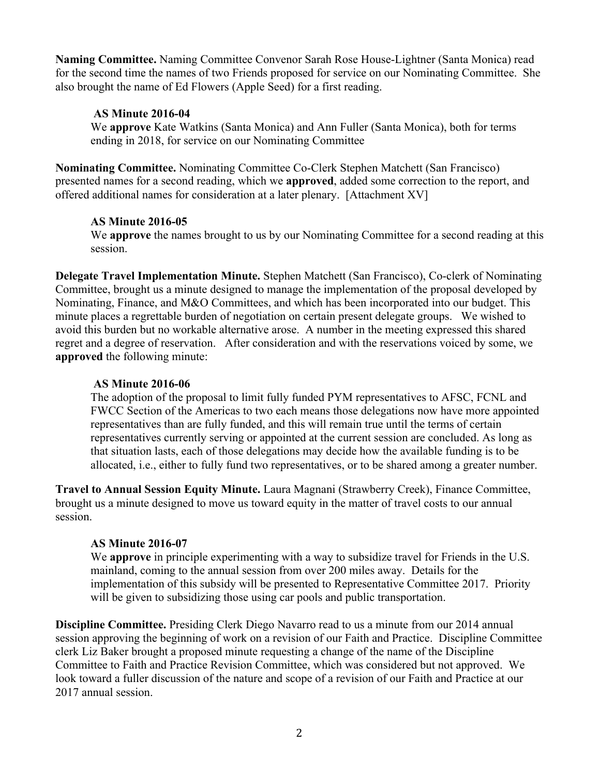**Naming Committee.** Naming Committee Convenor Sarah Rose House-Lightner (Santa Monica) read for the second time the names of two Friends proposed for service on our Nominating Committee. She also brought the name of Ed Flowers (Apple Seed) for a first reading.

### **AS Minute 2016-04**

We **approve** Kate Watkins (Santa Monica) and Ann Fuller (Santa Monica), both for terms ending in 2018, for service on our Nominating Committee

**Nominating Committee.** Nominating Committee Co-Clerk Stephen Matchett (San Francisco) presented names for a second reading, which we **approved**, added some correction to the report, and offered additional names for consideration at a later plenary. [Attachment XV]

### **AS Minute 2016-05**

We **approve** the names brought to us by our Nominating Committee for a second reading at this session.

**Delegate Travel Implementation Minute.** Stephen Matchett (San Francisco), Co-clerk of Nominating Committee, brought us a minute designed to manage the implementation of the proposal developed by Nominating, Finance, and M&O Committees, and which has been incorporated into our budget. This minute places a regrettable burden of negotiation on certain present delegate groups. We wished to avoid this burden but no workable alternative arose. A number in the meeting expressed this shared regret and a degree of reservation. After consideration and with the reservations voiced by some, we **approved** the following minute:

#### **AS Minute 2016-06**

The adoption of the proposal to limit fully funded PYM representatives to AFSC, FCNL and FWCC Section of the Americas to two each means those delegations now have more appointed representatives than are fully funded, and this will remain true until the terms of certain representatives currently serving or appointed at the current session are concluded. As long as that situation lasts, each of those delegations may decide how the available funding is to be allocated, i.e., either to fully fund two representatives, or to be shared among a greater number.

**Travel to Annual Session Equity Minute.** Laura Magnani (Strawberry Creek), Finance Committee, brought us a minute designed to move us toward equity in the matter of travel costs to our annual session.

#### **AS Minute 2016-07**

We **approve** in principle experimenting with a way to subsidize travel for Friends in the U.S. mainland, coming to the annual session from over 200 miles away. Details for the implementation of this subsidy will be presented to Representative Committee 2017. Priority will be given to subsidizing those using car pools and public transportation.

**Discipline Committee.** Presiding Clerk Diego Navarro read to us a minute from our 2014 annual session approving the beginning of work on a revision of our Faith and Practice. Discipline Committee clerk Liz Baker brought a proposed minute requesting a change of the name of the Discipline Committee to Faith and Practice Revision Committee, which was considered but not approved. We look toward a fuller discussion of the nature and scope of a revision of our Faith and Practice at our 2017 annual session.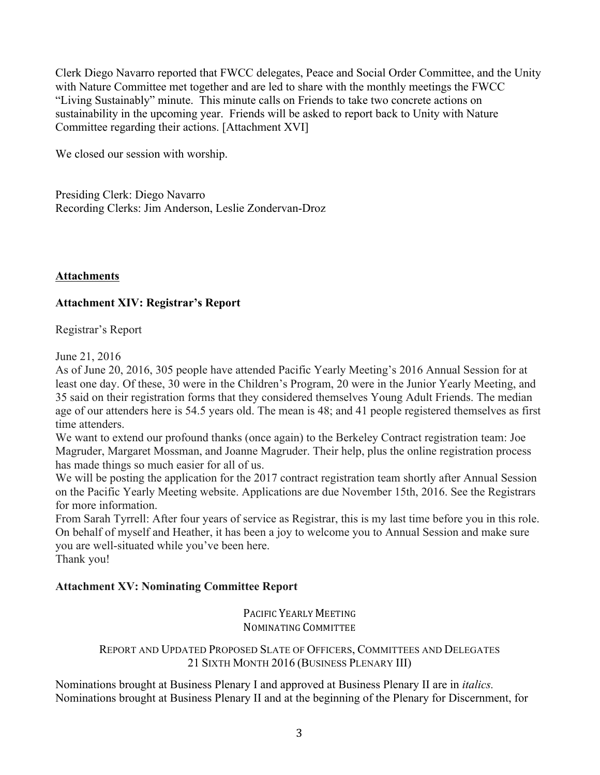Clerk Diego Navarro reported that FWCC delegates, Peace and Social Order Committee, and the Unity with Nature Committee met together and are led to share with the monthly meetings the FWCC "Living Sustainably" minute. This minute calls on Friends to take two concrete actions on sustainability in the upcoming year. Friends will be asked to report back to Unity with Nature Committee regarding their actions. [Attachment XVI]

We closed our session with worship.

Presiding Clerk: Diego Navarro Recording Clerks: Jim Anderson, Leslie Zondervan-Droz

**Attachments**

### **Attachment XIV: Registrar's Report**

Registrar's Report

June 21, 2016

As of June 20, 2016, 305 people have attended Pacific Yearly Meeting's 2016 Annual Session for at least one day. Of these, 30 were in the Children's Program, 20 were in the Junior Yearly Meeting, and 35 said on their registration forms that they considered themselves Young Adult Friends. The median age of our attenders here is 54.5 years old. The mean is 48; and 41 people registered themselves as first time attenders.

We want to extend our profound thanks (once again) to the Berkeley Contract registration team: Joe Magruder, Margaret Mossman, and Joanne Magruder. Their help, plus the online registration process has made things so much easier for all of us.

We will be posting the application for the 2017 contract registration team shortly after Annual Session on the Pacific Yearly Meeting website. Applications are due November 15th, 2016. See the Registrars for more information.

From Sarah Tyrrell: After four years of service as Registrar, this is my last time before you in this role. On behalf of myself and Heather, it has been a joy to welcome you to Annual Session and make sure you are well-situated while you've been here.

Thank you!

### **Attachment XV: Nominating Committee Report**

PACIFIC YEARLY MEETING NOMINATING COMMITTEE

#### REPORT AND UPDATED PROPOSED SLATE OF OFFICERS, COMMITTEES AND DELEGATES 21 SIXTH MONTH 2016 (BUSINESS PLENARY III)

Nominations brought at Business Plenary I and approved at Business Plenary II are in *italics.*  Nominations brought at Business Plenary II and at the beginning of the Plenary for Discernment, for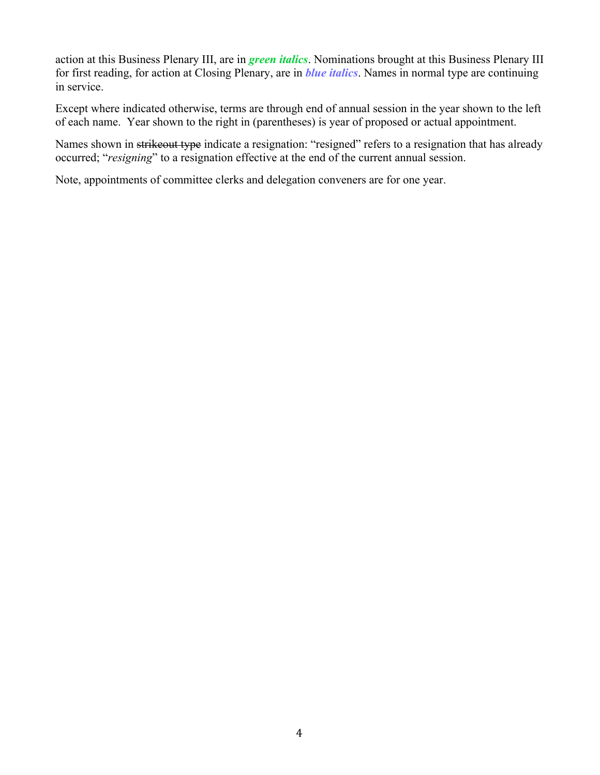action at this Business Plenary III, are in *green italics*. Nominations brought at this Business Plenary III for first reading, for action at Closing Plenary, are in *blue italics*. Names in normal type are continuing in service.

Except where indicated otherwise, terms are through end of annual session in the year shown to the left of each name. Year shown to the right in (parentheses) is year of proposed or actual appointment.

Names shown in strikeout type indicate a resignation: "resigned" refers to a resignation that has already occurred; "*resigning*" to a resignation effective at the end of the current annual session.

Note, appointments of committee clerks and delegation conveners are for one year.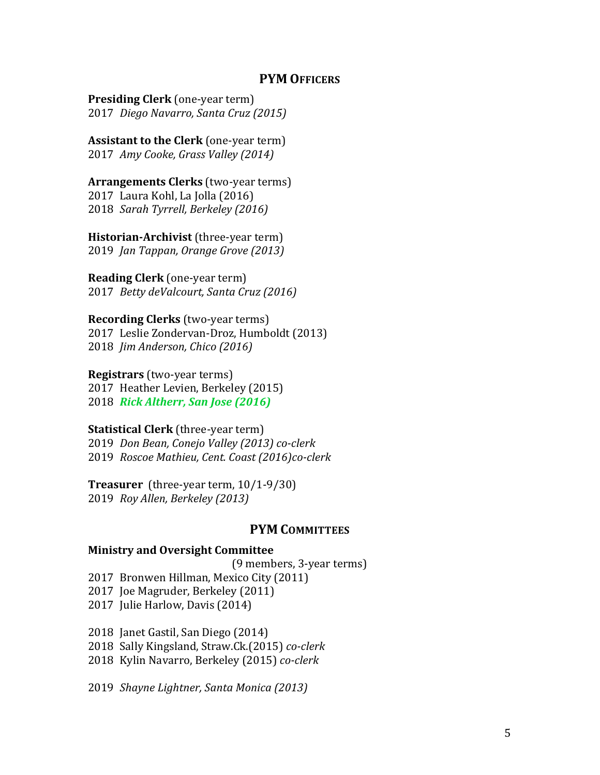#### **PYM OFFICERS**

**Presiding Clerk** (one-year term) 2017 *Diego Navarro, Santa Cruz (2015)*

**Assistant to the Clerk** (one-year term) 2017 *Amy Cooke, Grass Valley (2014)*

#### **Arrangements Clerks** (two-year terms) 2017 Laura Kohl, La Jolla (2016) 2018 *Sarah Tyrrell, Berkeley* (2016)

**Historian-Archivist** (three-year term) 2019 *Jan Tappan, Orange Grove (2013)*

**Reading Clerk** (one-year term) 2017 *Betty deValcourt, Santa Cruz (2016)* 

**Recording Clerks** (two-year terms) 2017 Leslie Zondervan-Droz, Humboldt (2013) 2018 *Jim Anderson, Chico (2016)*

**Registrars** (two-year terms) 2017 Heather Levien, Berkeley (2015) 2018 *Rick Altherr, San Jose (2016)*

#### **Statistical Clerk** (three-year term)

2019 *Don Bean, Conejo Valley (2013) co-clerk* 2019 *Roscoe Mathieu, Cent. Coast (2016)co-clerk*

**Treasurer** (three-year term, 10/1-9/30) 2019 *Roy Allen, Berkeley (2013)*

## **PYM COMMITTEES**

#### **Ministry and Oversight Committee**

(9 members, 3-year terms)

2017 Bronwen Hillman, Mexico City (2011)

2017 Joe Magruder, Berkeley (2011)

2017 Julie Harlow, Davis (2014)

2018 Janet Gastil, San Diego (2014)

2018 Sally Kingsland, Straw.Ck.(2015) *co-clerk*

2018 Kylin Navarro, Berkeley (2015) *co-clerk*

2019 *Shayne Lightner, Santa Monica (2013)*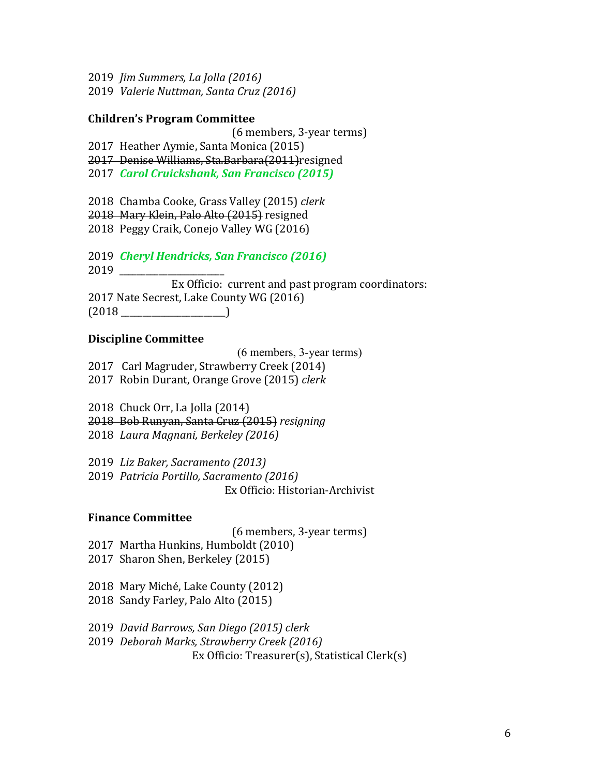- 2019 *Jim Summers, La Jolla (2016)*
- 2019 *Valerie Nuttman, Santa Cruz (2016)*

#### **Children's Program Committee**

(6 members, 3-year terms)

- 2017 Heather Aymie, Santa Monica (2015)
- 2017 Denise Williams, Sta.Barbara(2011) resigned
- 2017 *Carol Cruickshank, San Francisco (2015)*
- 2018 Chamba Cooke, Grass Valley (2015) *clerk*
- 2018 Mary Klein, Palo Alto (2015) resigned
- 2018 Peggy Craik, Conejo Valley WG (2016)
- 2019 *Cheryl Hendricks, San Francisco (2016)*
- 2019 \_\_\_\_\_\_\_\_\_\_\_\_\_\_\_\_\_\_\_\_\_\_\_\_
- Ex Officio: current and past program coordinators: 2017 Nate Secrest, Lake County WG (2016)  $(2018$  and  $(2018)$

#### **Discipline Committee**

(6 members, 3-year terms)

- 2017 Carl Magruder, Strawberry Creek (2014)
- 2017 Robin Durant, Orange Grove (2015) *clerk*
- 2018 Chuck Orr, La Jolla (2014)
- 2018 Bob Runyan, Santa Cruz (2015) *resigning*
- 2018 *Laura Magnani, Berkeley (2016)*

2019 *Liz Baker, Sacramento (2013)*

2019 *Patricia Portillo, Sacramento (2016)* Ex Officio: Historian-Archivist

#### **Finance Committee**

- (6 members, 3-year terms)
- 2017 Martha Hunkins, Humboldt (2010)
- 2017 Sharon Shen, Berkeley (2015)
- 2018 Mary Miché, Lake County (2012)
- 2018 Sandy Farley, Palo Alto (2015)
- 2019 *David Barrows, San Diego (2015) clerk*
- 2019 *Deborah Marks, Strawberry Creek (2016)*

Ex Officio: Treasurer(s), Statistical Clerk(s)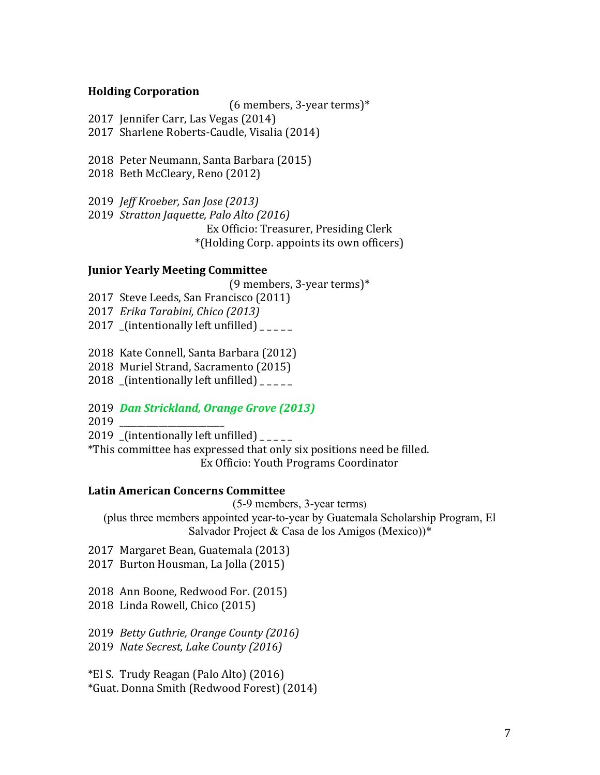#### **Holding Corporation**

(6 members, 3-year terms) $*$ 

2017 Jennifer Carr, Las Vegas (2014)

2017 Sharlene Roberts-Caudle, Visalia (2014)

2018 Peter Neumann, Santa Barbara (2015)

2018 Beth McCleary, Reno (2012)

2019 *Jeff Kroeber, San Jose (2013)*

2019 *Stratton Jaquette, Palo Alto* (2016) Ex Officio: Treasurer, Presiding Clerk \*(Holding Corp. appoints its own officers)

### **Junior Yearly Meeting Committee**

(9 members, 3-year terms)\*

2017 Steve Leeds, San Francisco (2011)

2017 *Erika Tarabini, Chico (2013)*

2017 (intentionally left unfilled)  $\frac{1}{2}$ 

2018 Kate Connell, Santa Barbara (2012)

2018 Muriel Strand, Sacramento (2015)

2018  $[$ intentionally left unfilled) $]$ 

### 2019 *Dan Strickland, Orange Grove (2013)*

2019 \_\_\_\_\_\_\_\_\_\_\_\_\_\_\_\_\_\_\_\_\_\_\_\_

2019 (intentionally left unfilled)  $\frac{1}{2}$ 

\*This committee has expressed that only six positions need be filled. Ex Officio: Youth Programs Coordinator

### Latin American Concerns Committee

(5-9 members, 3-year terms)

(plus three members appointed year-to-year by Guatemala Scholarship Program, El Salvador Project & Casa de los Amigos (Mexico))\*

2017 Margaret Bean, Guatemala (2013)

2017 Burton Housman, La Jolla (2015)

2018 Ann Boone, Redwood For. (2015)

2018 Linda Rowell, Chico (2015)

2019 *Betty Guthrie, Orange County (2016)* 2019 *Nate Secrest, Lake County (2016)* 

\*El S. Trudy Reagan (Palo Alto) (2016) \*Guat. Donna Smith (Redwood Forest) (2014)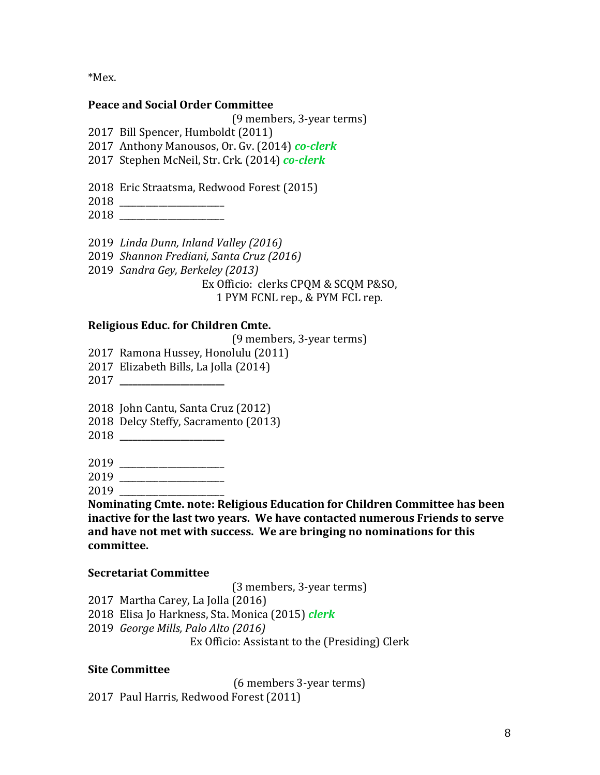\*Mex.

#### **Peace and Social Order Committee**

(9 members, 3-year terms)

2017 Bill Spencer, Humboldt (2011)

- 2017 Anthony Manousos, Or. Gv. (2014) *co-clerk*
- 2017 Stephen McNeil, Str. Crk. (2014) *co-clerk*
- 2018 Eric Straatsma, Redwood Forest (2015)
- 2018 \_\_\_\_\_\_\_\_\_\_\_\_\_\_\_\_\_\_\_\_\_\_\_\_
- 2018 \_\_\_\_\_\_\_\_\_\_\_\_\_\_\_\_\_\_\_\_\_\_\_\_
- 2019 *Linda Dunn, Inland Valley (2016)*
- 2019 *Shannon Frediani, Santa Cruz (2016)*
- 2019 *Sandra Gey, Berkeley (2013)*

Ex Officio: clerks CPQM & SCQM P&SO,

1 PYM FCNL rep., & PYM FCL rep.

## **Religious Educ.** for Children Cmte.

(9 members, 3-year terms)

- 2017 Ramona Hussey, Honolulu (2011)
- 2017 Elizabeth Bills, La Jolla (2014)
- 2017 **\_\_\_\_\_\_\_\_\_\_\_\_\_\_\_\_\_\_\_\_\_\_\_\_**

2018 John Cantu, Santa Cruz (2012)

- 2018 Delcy Steffy, Sacramento (2013)
- 2018 **\_\_\_\_\_\_\_\_\_\_\_\_\_\_\_\_\_\_\_\_\_\_\_\_**
- 2019 \_\_\_\_\_\_\_\_\_\_\_\_\_\_\_\_\_\_\_\_\_\_\_\_
- 2019 \_\_\_\_\_\_\_\_\_\_\_\_\_\_\_\_\_\_\_\_\_\_\_\_
- 2019 \_\_\_\_\_\_\_\_\_\_\_\_\_\_\_\_\_\_\_\_\_\_\_\_

**Nominating Cmte. note: Religious Education for Children Committee has been** inactive for the last two years. We have contacted numerous Friends to serve and have not met with success. We are bringing no nominations for this **committee.**

### **Secretariat Committee**

(3 members, 3-year terms)

- 2017 Martha Carey, La Jolla (2016)
- 2018 Elisa Jo Harkness, Sta. Monica (2015) *clerk*
- 2019 *George Mills, Palo Alto (2016)*

Ex Officio: Assistant to the (Presiding) Clerk

# **Site Committee**

(6 members 3-year terms) 2017 Paul Harris, Redwood Forest (2011)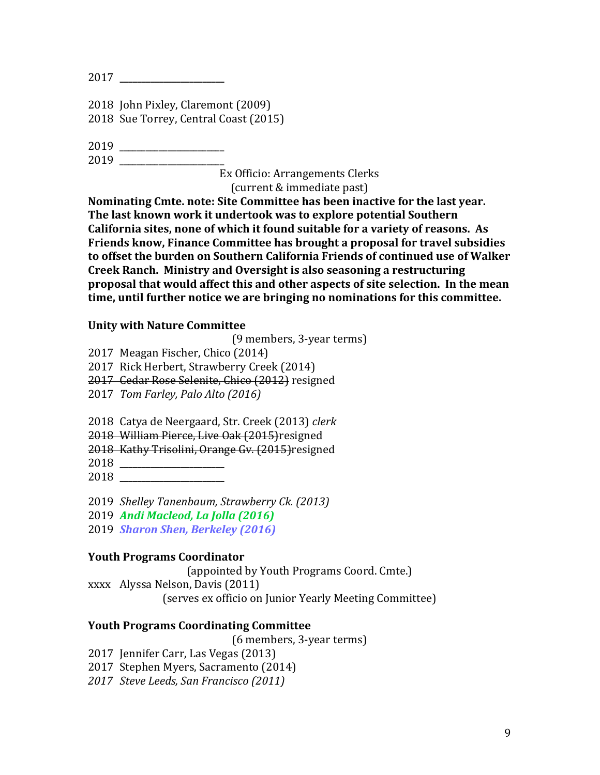2017 **\_\_\_\_\_\_\_\_\_\_\_\_\_\_\_\_\_\_\_\_\_\_\_\_**

2018 John Pixley, Claremont (2009) 2018 Sue Torrey, Central Coast (2015)

2019 \_\_\_\_\_\_\_\_\_\_\_\_\_\_\_\_\_\_\_\_\_\_\_\_ 2019 \_\_\_\_\_\_\_\_\_\_\_\_\_\_\_\_\_\_\_\_\_\_\_\_

Ex Officio: Arrangements Clerks 

(current & immediate past)

**Nominating Cmte, note: Site Committee has been inactive for the last vear.** The last known work it undertook was to explore potential Southern California sites, none of which it found suitable for a variety of reasons. As **Friends know, Finance Committee has brought a proposal for travel subsidies** to offset the burden on Southern California Friends of continued use of Walker **Creek Ranch. Ministry and Oversight is also seasoning a restructuring proposal that would affect this and other aspects of site selection. In the mean time, until further notice we are bringing no nominations for this committee.** 

### **Unity with Nature Committee**

(9 members, 3-year terms)

2017 Meagan Fischer, Chico (2014)

2017 Rick Herbert, Strawberry Creek (2014)

2017 Cedar Rose Selenite, Chico (2012) resigned

2017 *Tom Farley, Palo Alto (2016)*

2018 Catya de Neergaard, Str. Creek (2013) *clerk*

2018 William Pierce, Live Oak (2015) resigned

2018 Kathy Trisolini, Orange Gy. (2015) resigned

2018 **\_\_\_\_\_\_\_\_\_\_\_\_\_\_\_\_\_\_\_\_\_\_\_\_**

2018 **\_\_\_\_\_\_\_\_\_\_\_\_\_\_\_\_\_\_\_\_\_\_\_\_**

2019 *Shelley Tanenbaum, Strawberry Ck. (2013)*

2019 *Andi Macleod, La Jolla (2016)*

2019 *Sharon Shen, Berkeley (2016)* 

### **Youth Programs Coordinator**

(appointed by Youth Programs Coord. Cmte.)

xxxx Alyssa Nelson, Davis (2011)

(serves ex officio on Junior Yearly Meeting Committee)

### **Youth Programs Coordinating Committee**

(6 members, 3-year terms)

2017 Jennifer Carr, Las Vegas (2013)

2017 Stephen Myers, Sacramento (2014)

*2017 Steve Leeds, San Francisco (2011)*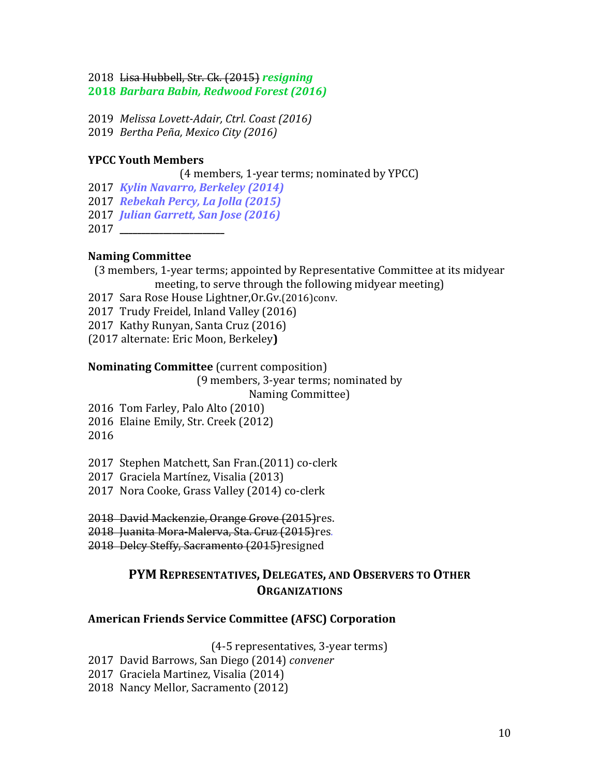2018 Lisa Hubbell, Str. Ck. (2015) *resigning* **2018** *Barbara Babin, Redwood Forest (2016)*

2019 *Melissa Lovett-Adair, Ctrl. Coast (2016)*

2019 *Bertha Peña, Mexico City (2016)*

#### **YPCC Youth Members**

(4 members, 1-year terms; nominated by YPCC)

2017 *Kylin Navarro, Berkeley (2014)*

2017 *Rebekah Percy, La Jolla (2015)*

2017 *Julian Garrett, San Jose (2016)*

2017 **\_\_\_\_\_\_\_\_\_\_\_\_\_\_\_\_\_\_\_\_\_\_\_\_**

#### **Naming Committee**

(3 members, 1-year terms; appointed by Representative Committee at its midyear meeting, to serve through the following midyear meeting)

2017 Sara Rose House Lightner, Or. Gv. (2016) conv.

2017 Trudy Freidel, Inland Valley (2016)

2017 Kathy Runyan, Santa Cruz (2016)

(2017 alternate: Eric Moon, Berkeley**)**

#### **Nominating Committee** (current composition)

(9 members, 3-year terms; nominated by

Naming Committee)

2016 Tom Farley, Palo Alto (2010)

2016 Elaine Emily, Str. Creek (2012)

2016

2017 Stephen Matchett, San Fran.(2011) co-clerk

2017 Graciela Martínez, Visalia (2013)

2017 Nora Cooke, Grass Valley (2014) co-clerk

2018 David Mackenzie, Orange Grove (2015)res.

2018 Juanita Mora-Malerva, Sta. Cruz (2015)res.

2018 Delcy Steffy, Sacramento (2015) resigned

# **PYM REPRESENTATIVES, DELEGATES, AND OBSERVERS TO OTHER ORGANIZATIONS**

### **American Friends Service Committee (AFSC) Corporation**

(4-5 representatives, 3-year terms)

- 2017 David Barrows, San Diego (2014) *convener*
- 2017 Graciela Martinez, Visalia (2014)
- 2018 Nancy Mellor, Sacramento (2012)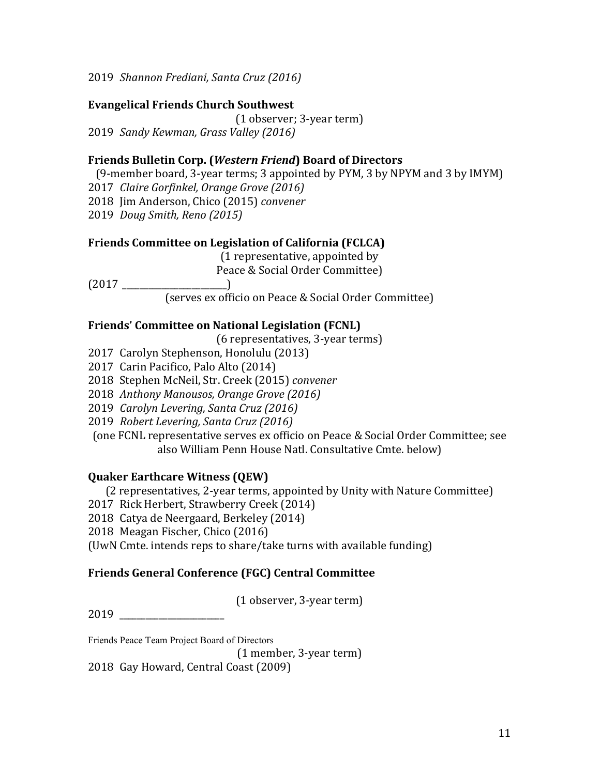2019 *Shannon Frediani, Santa Cruz (2016)*

## **Evangelical Friends Church Southwest**

(1 observer; 3-year term) 2019 *Sandy Kewman, Grass Valley (2016)*

## **Friends Bulletin Corp. (***Western Friend***) Board of Directors**

(9-member board, 3-year terms; 3 appointed by PYM, 3 by NPYM and 3 by IMYM)

2017 *Claire Gorfinkel, Orange Grove (2016)*

2018 Jim Anderson, Chico (2015) *convener* 

2019 *Doug Smith, Reno (2015)*

### **Friends Committee on Legislation of California (FCLCA)**

(1 representative, appointed by

Peace & Social Order Committee)

(2017 \_\_\_\_\_\_\_\_\_\_\_\_\_\_\_\_\_\_\_\_\_\_\_\_)

(serves ex officio on Peace & Social Order Committee)

### **Friends' Committee on National Legislation (FCNL)**

(6 representatives, 3-year terms)

- 2017 Carolyn Stephenson, Honolulu (2013)
- 2017 Carin Pacifico, Palo Alto (2014)
- 2018 Stephen McNeil, Str. Creek (2015) *convener*
- 2018 *Anthony Manousos, Orange Grove (2016)*
- 2019 *Carolyn Levering, Santa Cruz (2016)*
- 2019 *Robert Levering, Santa Cruz (2016)*

(one FCNL representative serves ex officio on Peace & Social Order Committee; see also William Penn House Natl. Consultative Cmte. below)

### **Quaker Earthcare Witness (QEW)**

(2 representatives, 2-year terms, appointed by Unity with Nature Committee)

- 2017 Rick Herbert, Strawberry Creek (2014)
- 2018 Catya de Neergaard, Berkeley (2014)
- 2018 Meagan Fischer, Chico (2016)

(UwN Cmte. intends reps to share/take turns with available funding)

# **Friends General Conference (FGC) Central Committee**

(1 observer, 3-year term)

2019 \_\_\_\_\_\_\_\_\_\_\_\_\_\_\_\_\_\_\_\_\_\_\_\_

Friends Peace Team Project Board of Directors

(1 member, 3-year term) 2018 Gay Howard, Central Coast (2009)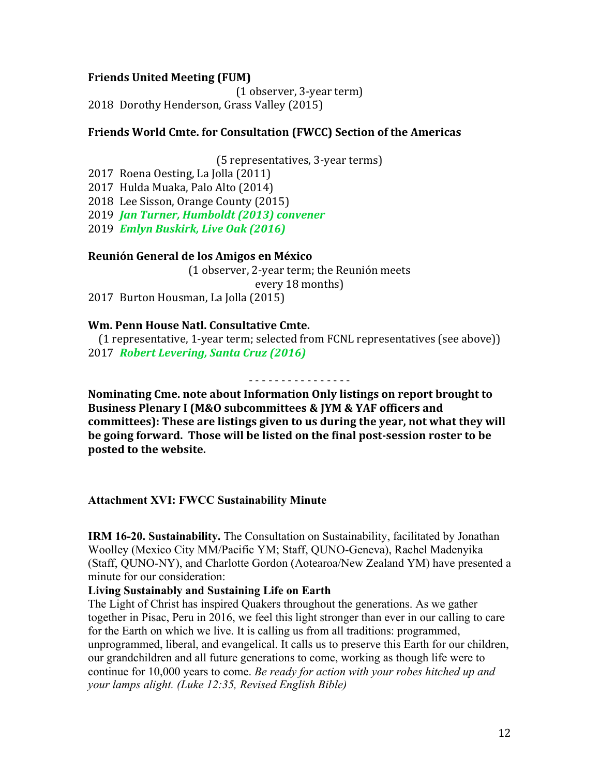#### **Friends United Meeting (FUM)**

(1 observer, 3-year term) 2018 Dorothy Henderson, Grass Valley (2015)

#### **Friends World Cmte. for Consultation (FWCC) Section of the Americas**

(5 representatives, 3-year terms)

2017 Roena Oesting, La Jolla (2011) 2017 Hulda Muaka, Palo Alto (2014) 2018 Lee Sisson, Orange County (2015)

2019 *Jan Turner, Humboldt (2013) convener* 

2019 *Emlyn Buskirk, Live Oak (2016)*

#### **Reunión General de los Amigos en México**

(1 observer, 2-year term; the Reunión meets every 18 months) 2017 Burton Housman, La Jolla (2015)

#### **Wm. Penn House Natl. Consultative Cmte.**

(1 representative, 1-year term; selected from FCNL representatives (see above)) 2017 *Robert Levering, Santa Cruz (2016)* 

- - - - - - - - - - - - - - - -

**Nominating Cme. note about Information Only listings on report brought to** Business Plenary I (M&O subcommittees & JYM & YAF officers and committees): These are listings given to us during the year, not what they will **be going forward. Those will be listed on the final post-session roster to be** posted to the website.

**Attachment XVI: FWCC Sustainability Minute**

**IRM 16-20. Sustainability.** The Consultation on Sustainability, facilitated by Jonathan Woolley (Mexico City MM/Pacific YM; Staff, QUNO-Geneva), Rachel Madenyika (Staff, QUNO-NY), and Charlotte Gordon (Aotearoa/New Zealand YM) have presented a minute for our consideration:

#### **Living Sustainably and Sustaining Life on Earth**

The Light of Christ has inspired Quakers throughout the generations. As we gather together in Pisac, Peru in 2016, we feel this light stronger than ever in our calling to care for the Earth on which we live. It is calling us from all traditions: programmed, unprogrammed, liberal, and evangelical. It calls us to preserve this Earth for our children, our grandchildren and all future generations to come, working as though life were to continue for 10,000 years to come. *Be ready for action with your robes hitched up and your lamps alight. (Luke 12:35, Revised English Bible)*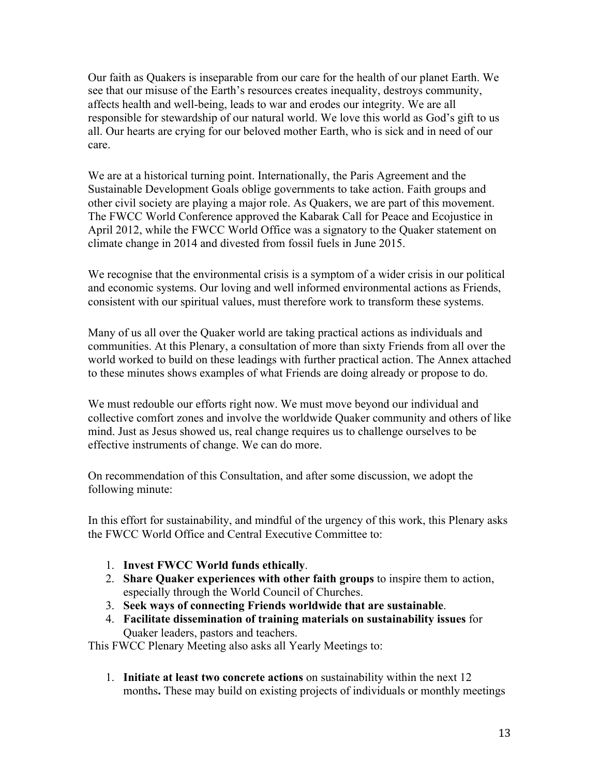Our faith as Quakers is inseparable from our care for the health of our planet Earth. We see that our misuse of the Earth's resources creates inequality, destroys community, affects health and well-being, leads to war and erodes our integrity. We are all responsible for stewardship of our natural world. We love this world as God's gift to us all. Our hearts are crying for our beloved mother Earth, who is sick and in need of our care.

We are at a historical turning point. Internationally, the Paris Agreement and the Sustainable Development Goals oblige governments to take action. Faith groups and other civil society are playing a major role. As Quakers, we are part of this movement. The FWCC World Conference approved the Kabarak Call for Peace and Ecojustice in April 2012, while the FWCC World Office was a signatory to the Quaker statement on climate change in 2014 and divested from fossil fuels in June 2015.

We recognise that the environmental crisis is a symptom of a wider crisis in our political and economic systems. Our loving and well informed environmental actions as Friends, consistent with our spiritual values, must therefore work to transform these systems.

Many of us all over the Quaker world are taking practical actions as individuals and communities. At this Plenary, a consultation of more than sixty Friends from all over the world worked to build on these leadings with further practical action. The Annex attached to these minutes shows examples of what Friends are doing already or propose to do.

We must redouble our efforts right now. We must move beyond our individual and collective comfort zones and involve the worldwide Quaker community and others of like mind. Just as Jesus showed us, real change requires us to challenge ourselves to be effective instruments of change. We can do more.

On recommendation of this Consultation, and after some discussion, we adopt the following minute:

In this effort for sustainability, and mindful of the urgency of this work, this Plenary asks the FWCC World Office and Central Executive Committee to:

- 1. **Invest FWCC World funds ethically**.
- 2. **Share Quaker experiences with other faith groups** to inspire them to action, especially through the World Council of Churches.
- 3. **Seek ways of connecting Friends worldwide that are sustainable**.
- 4. **Facilitate dissemination of training materials on sustainability issues** for Quaker leaders, pastors and teachers.

This FWCC Plenary Meeting also asks all Yearly Meetings to:

1. **Initiate at least two concrete actions** on sustainability within the next 12 months**.** These may build on existing projects of individuals or monthly meetings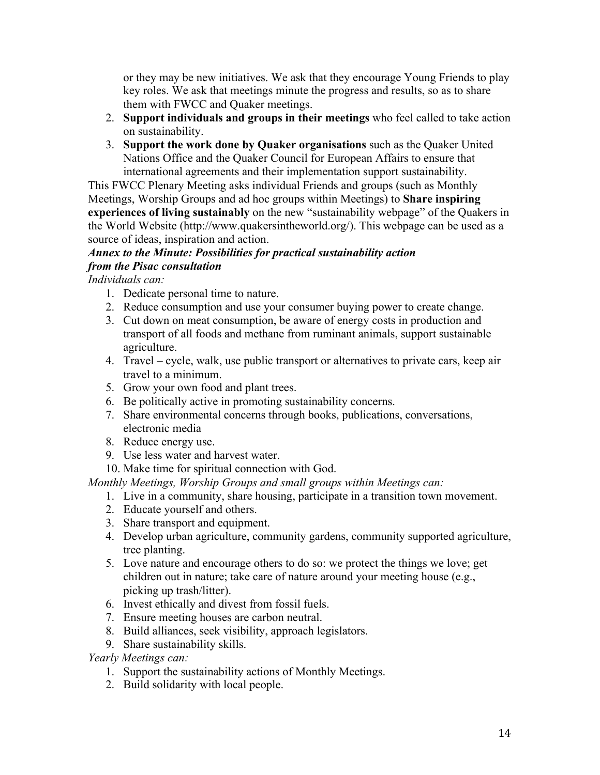or they may be new initiatives. We ask that they encourage Young Friends to play key roles. We ask that meetings minute the progress and results, so as to share them with FWCC and Quaker meetings.

- 2. **Support individuals and groups in their meetings** who feel called to take action on sustainability.
- 3. **Support the work done by Quaker organisations** such as the Quaker United Nations Office and the Quaker Council for European Affairs to ensure that international agreements and their implementation support sustainability.

This FWCC Plenary Meeting asks individual Friends and groups (such as Monthly Meetings, Worship Groups and ad hoc groups within Meetings) to **Share inspiring experiences of living sustainably** on the new "sustainability webpage" of the Quakers in the World Website (http://www.quakersintheworld.org/). This webpage can be used as a source of ideas, inspiration and action.

## *Annex to the Minute: Possibilities for practical sustainability action from the Pisac consultation*

*Individuals can:*

- 1. Dedicate personal time to nature.
- 2. Reduce consumption and use your consumer buying power to create change.
- 3. Cut down on meat consumption, be aware of energy costs in production and transport of all foods and methane from ruminant animals, support sustainable agriculture.
- 4. Travel cycle, walk, use public transport or alternatives to private cars, keep air travel to a minimum.
- 5. Grow your own food and plant trees.
- 6. Be politically active in promoting sustainability concerns.
- 7. Share environmental concerns through books, publications, conversations, electronic media
- 8. Reduce energy use.
- 9. Use less water and harvest water.
- 10. Make time for spiritual connection with God.

*Monthly Meetings, Worship Groups and small groups within Meetings can:*

- 1. Live in a community, share housing, participate in a transition town movement.
- 2. Educate yourself and others.
- 3. Share transport and equipment.
- 4. Develop urban agriculture, community gardens, community supported agriculture, tree planting.
- 5. Love nature and encourage others to do so: we protect the things we love; get children out in nature; take care of nature around your meeting house (e.g., picking up trash/litter).
- 6. Invest ethically and divest from fossil fuels.
- 7. Ensure meeting houses are carbon neutral.
- 8. Build alliances, seek visibility, approach legislators.
- 9. Share sustainability skills.

# *Yearly Meetings can:*

- 1. Support the sustainability actions of Monthly Meetings.
- 2. Build solidarity with local people.